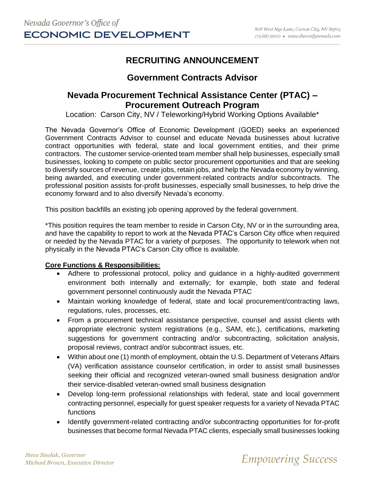# **RECRUITING ANNOUNCEMENT**

## **Government Contracts Advisor**

## **Nevada Procurement Technical Assistance Center (PTAC) – Procurement Outreach Program**

Location: Carson City, NV / Teleworking/Hybrid Working Options Available\*

The Nevada Governor's Office of Economic Development (GOED) seeks an experienced Government Contracts Advisor to counsel and educate Nevada businesses about lucrative contract opportunities with federal, state and local government entities, and their prime contractors. The customer service-oriented team member shall help businesses, especially small businesses, looking to compete on public sector procurement opportunities and that are seeking to diversify sources of revenue, create jobs, retain jobs, and help the Nevada economy by winning, being awarded, and executing under government-related contracts and/or subcontracts. The professional position assists for-profit businesses, especially small businesses, to help drive the economy forward and to also diversify Nevada's economy.

This position backfills an existing job opening approved by the federal government.

\*This position requires the team member to reside in Carson City, NV or in the surrounding area, and have the capability to report to work at the Nevada PTAC's Carson City office when required or needed by the Nevada PTAC for a variety of purposes. The opportunity to telework when not physically in the Nevada PTAC's Carson City office is available.

#### **Core Functions & Responsibilities:**

- Adhere to professional protocol, policy and guidance in a highly-audited government environment both internally and externally; for example, both state and federal government personnel continuously audit the Nevada PTAC
- Maintain working knowledge of federal, state and local procurement/contracting laws, regulations, rules, processes, etc.
- From a procurement technical assistance perspective, counsel and assist clients with appropriate electronic system registrations (e.g., SAM, etc.), certifications, marketing suggestions for government contracting and/or subcontracting, solicitation analysis, proposal reviews, contract and/or subcontract issues, etc.
- Within about one (1) month of employment, obtain the U.S. Department of Veterans Affairs (VA) verification assistance counselor certification, in order to assist small businesses seeking their official and recognized veteran-owned small business designation and/or their service-disabled veteran-owned small business designation
- Develop long-term professional relationships with federal, state and local government contracting personnel, especially for guest speaker requests for a variety of Nevada PTAC functions
- Identify government-related contracting and/or subcontracting opportunities for for-profit businesses that become formal Nevada PTAC clients, especially small businesses looking

*Steve Sisolak, Governor*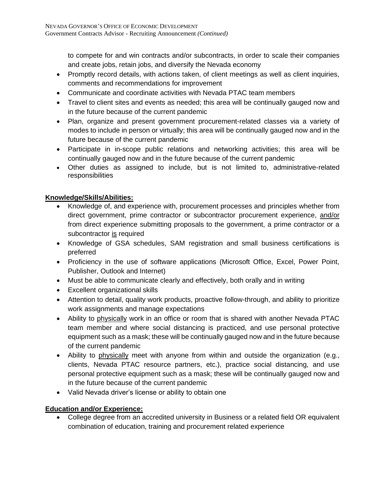to compete for and win contracts and/or subcontracts, in order to scale their companies and create jobs, retain jobs, and diversify the Nevada economy

- Promptly record details, with actions taken, of client meetings as well as client inquiries, comments and recommendations for improvement
- Communicate and coordinate activities with Nevada PTAC team members
- Travel to client sites and events as needed; this area will be continually gauged now and in the future because of the current pandemic
- Plan, organize and present government procurement-related classes via a variety of modes to include in person or virtually; this area will be continually gauged now and in the future because of the current pandemic
- Participate in in-scope public relations and networking activities; this area will be continually gauged now and in the future because of the current pandemic
- Other duties as assigned to include, but is not limited to, administrative-related responsibilities

### **Knowledge/Skills/Abilities:**

- Knowledge of, and experience with, procurement processes and principles whether from direct government, prime contractor or subcontractor procurement experience, and/or from direct experience submitting proposals to the government, a prime contractor or a subcontractor is required
- Knowledge of GSA schedules, SAM registration and small business certifications is preferred
- Proficiency in the use of software applications (Microsoft Office, Excel, Power Point, Publisher, Outlook and Internet)
- Must be able to communicate clearly and effectively, both orally and in writing
- Excellent organizational skills
- Attention to detail, quality work products, proactive follow-through, and ability to prioritize work assignments and manage expectations
- Ability to physically work in an office or room that is shared with another Nevada PTAC team member and where social distancing is practiced, and use personal protective equipment such as a mask; these will be continually gauged now and in the future because of the current pandemic
- Ability to physically meet with anyone from within and outside the organization (e.g., clients, Nevada PTAC resource partners, etc.), practice social distancing, and use personal protective equipment such as a mask; these will be continually gauged now and in the future because of the current pandemic
- Valid Nevada driver's license or ability to obtain one

### **Education and/or Experience:**

• College degree from an accredited university in Business or a related field OR equivalent combination of education, training and procurement related experience